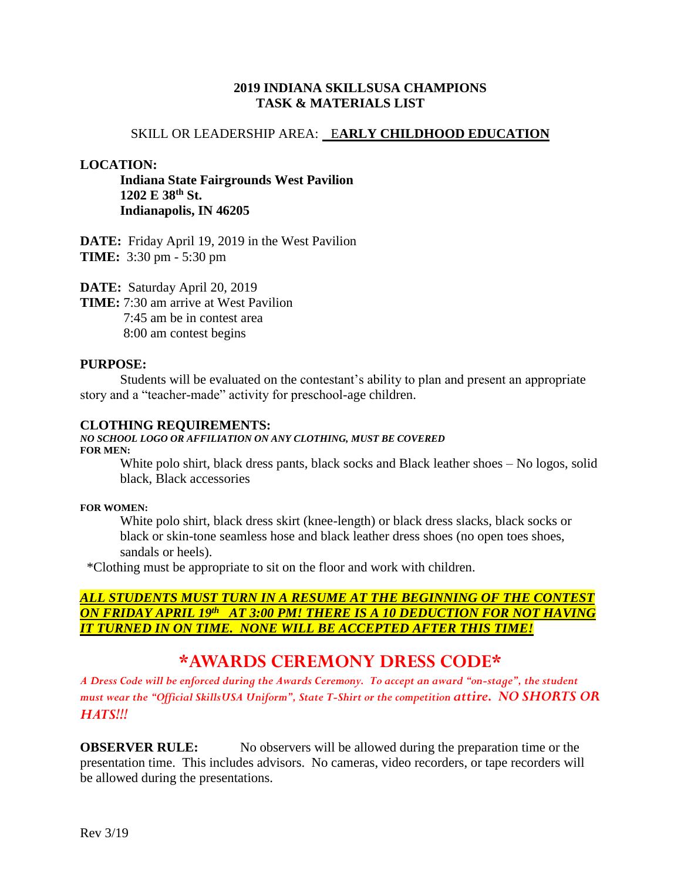### **2019 INDIANA SKILLSUSA CHAMPIONS TASK & MATERIALS LIST**

### SKILL OR LEADERSHIP AREA: E**ARLY CHILDHOOD EDUCATION**

### **LOCATION:**

**Indiana State Fairgrounds West Pavilion 1202 E 38th St. Indianapolis, IN 46205**

**DATE:** Friday April 19, 2019 in the West Pavilion **TIME:** 3:30 pm - 5:30 pm

**DATE:** Saturday April 20, 2019

**TIME:** 7:30 am arrive at West Pavilion 7:45 am be in contest area 8:00 am contest begins

### **PURPOSE:**

Students will be evaluated on the contestant's ability to plan and present an appropriate story and a "teacher-made" activity for preschool-age children.

#### **CLOTHING REQUIREMENTS:**

#### *NO SCHOOL LOGO OR AFFILIATION ON ANY CLOTHING, MUST BE COVERED* **FOR MEN:**

White polo shirt, black dress pants, black socks and Black leather shoes – No logos, solid black, Black accessories

#### **FOR WOMEN:**

White polo shirt, black dress skirt (knee-length) or black dress slacks, black socks or black or skin-tone seamless hose and black leather dress shoes (no open toes shoes, sandals or heels).

\*Clothing must be appropriate to sit on the floor and work with children.

### *ALL STUDENTS MUST TURN IN A RESUME AT THE BEGINNING OF THE CONTEST ON FRIDAY APRIL 19 th AT 3:00 PM! THERE IS A 10 DEDUCTION FOR NOT HAVING IT TURNED IN ON TIME. NONE WILL BE ACCEPTED AFTER THIS TIME!*

# **\*AWARDS CEREMONY DRESS CODE\***

*A Dress Code will be enforced during the Awards Ceremony. To accept an award "on-stage", the student must wear the "Official SkillsUSA Uniform", State T-Shirt or the competition attire. NO SHORTS OR HATS!!!*

**OBSERVER RULE:** No observers will be allowed during the preparation time or the presentation time. This includes advisors. No cameras, video recorders, or tape recorders will be allowed during the presentations.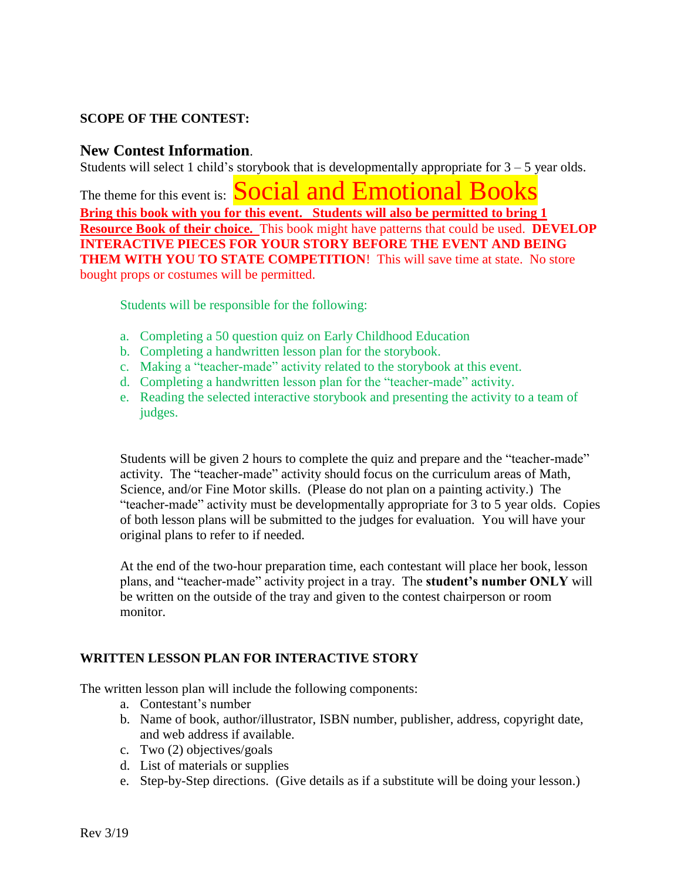## **SCOPE OF THE CONTEST:**

## **New Contest Information**.

Students will select 1 child's storybook that is developmentally appropriate for  $3 - 5$  year olds.

The theme for this event is: **Social and Emotional Books Bring this book with you for this event. Students will also be permitted to bring 1 Resource Book of their choice.** This book might have patterns that could be used. **DEVELOP INTERACTIVE PIECES FOR YOUR STORY BEFORE THE EVENT AND BEING THEM WITH YOU TO STATE COMPETITION!** This will save time at state. No store bought props or costumes will be permitted.

Students will be responsible for the following:

- a. Completing a 50 question quiz on Early Childhood Education
- b. Completing a handwritten lesson plan for the storybook.
- c. Making a "teacher-made" activity related to the storybook at this event.
- d. Completing a handwritten lesson plan for the "teacher-made" activity.
- e. Reading the selected interactive storybook and presenting the activity to a team of judges.

Students will be given 2 hours to complete the quiz and prepare and the "teacher-made" activity. The "teacher-made" activity should focus on the curriculum areas of Math, Science, and/or Fine Motor skills. (Please do not plan on a painting activity.) The "teacher-made" activity must be developmentally appropriate for 3 to 5 year olds. Copies of both lesson plans will be submitted to the judges for evaluation. You will have your original plans to refer to if needed.

At the end of the two-hour preparation time, each contestant will place her book, lesson plans, and "teacher-made" activity project in a tray. The **student's number ONLY** will be written on the outside of the tray and given to the contest chairperson or room monitor.

### **WRITTEN LESSON PLAN FOR INTERACTIVE STORY**

The written lesson plan will include the following components:

- a. Contestant's number
- b. Name of book, author/illustrator, ISBN number, publisher, address, copyright date, and web address if available.
- c. Two (2) objectives/goals
- d. List of materials or supplies
- e. Step-by-Step directions. (Give details as if a substitute will be doing your lesson.)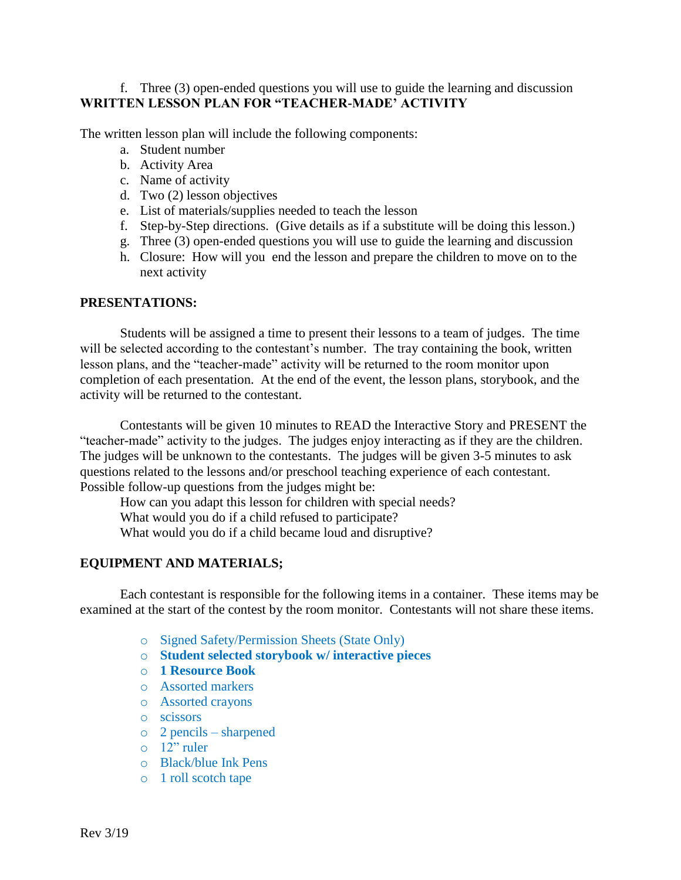### f. Three (3) open-ended questions you will use to guide the learning and discussion **WRITTEN LESSON PLAN FOR "TEACHER-MADE' ACTIVITY**

The written lesson plan will include the following components:

- a. Student number
- b. Activity Area
- c. Name of activity
- d. Two (2) lesson objectives
- e. List of materials/supplies needed to teach the lesson
- f. Step-by-Step directions. (Give details as if a substitute will be doing this lesson.)
- g. Three (3) open-ended questions you will use to guide the learning and discussion
- h. Closure: How will you end the lesson and prepare the children to move on to the next activity

### **PRESENTATIONS:**

Students will be assigned a time to present their lessons to a team of judges. The time will be selected according to the contestant's number. The tray containing the book, written lesson plans, and the "teacher-made" activity will be returned to the room monitor upon completion of each presentation. At the end of the event, the lesson plans, storybook, and the activity will be returned to the contestant.

Contestants will be given 10 minutes to READ the Interactive Story and PRESENT the "teacher-made" activity to the judges. The judges enjoy interacting as if they are the children. The judges will be unknown to the contestants. The judges will be given 3-5 minutes to ask questions related to the lessons and/or preschool teaching experience of each contestant. Possible follow-up questions from the judges might be:

How can you adapt this lesson for children with special needs? What would you do if a child refused to participate? What would you do if a child became loud and disruptive?

### **EQUIPMENT AND MATERIALS;**

Each contestant is responsible for the following items in a container. These items may be examined at the start of the contest by the room monitor. Contestants will not share these items.

- o Signed Safety/Permission Sheets (State Only)
- o **Student selected storybook w/ interactive pieces**
- o **1 Resource Book**
- o Assorted markers
- o Assorted crayons
- o scissors
- o 2 pencils sharpened
- o 12" ruler
- o Black/blue Ink Pens
- o 1 roll scotch tape